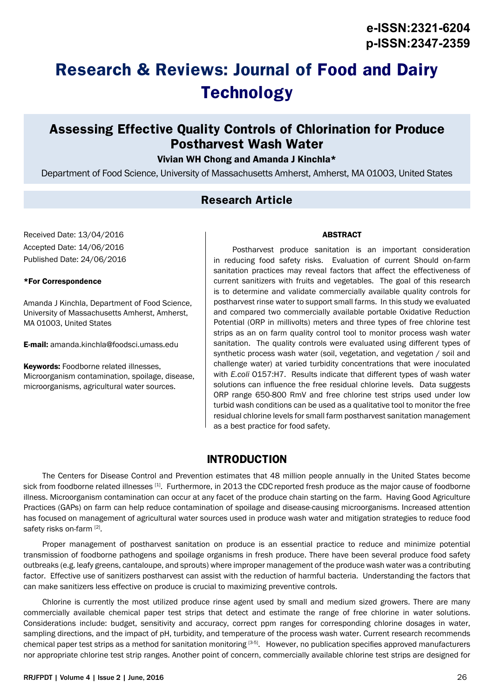# **Research & Reviews: Journal of Food and Dairy Technology**

## **Assessing Effective Quality Controls of Chlorination for Produce Postharvest Wash Water**

#### Vivian WH Chong and Amanda J Kinchla\*

Department of Food Science, University of Massachusetts Amherst, Amherst, MA 01003, United States

### **Research Article**

Received Date: 13/04/2016 Accepted Date: 14/06/2016 Published Date: 24/06/2016

#### \*For Correspondence

Amanda J Kinchla, Department of Food Science, University of Massachusetts Amherst, Amherst, MA 01003, United States

E-mail: amanda.kinchla@foodsci.umass.edu

Keywords: Foodborne related illnesses, Microorganism contamination, spoilage, disease, microorganisms, agricultural water sources.

#### ABSTRACT

Postharvest produce sanitation is an important consideration in reducing food safety risks. Evaluation of current Should on-farm sanitation practices may reveal factors that affect the effectiveness of current sanitizers with fruits and vegetables. The goal of this research is to determine and validate commercially available quality controls for postharvest rinse water to support small farms. In this study we evaluated and compared two commercially available portable Oxidative Reduction Potential (ORP in millivolts) meters and three types of free chlorine test strips as an on farm quality control tool to monitor process wash water sanitation. The quality controls were evaluated using different types of synthetic process wash water (soil, vegetation, and vegetation / soil and challenge water) at varied turbidity concentrations that were inoculated with *E.coli* O157:H7. Results indicate that different types of wash water solutions can influence the free residual chlorine levels. Data suggests ORP range 650-800 RmV and free chlorine test strips used under low turbid wash conditions can be used as a qualitative tool to monitor the free residual chlorine levels for small farm postharvest sanitation management as a best practice for food safety.

### **INTRODUCTION**

The Centers for Disease Control and Prevention estimates that 48 million people annually in the United States become sick from foodborne related illnesses [1]. Furthermore, in 2013 the CDC reported fresh produce as the major cause of foodborne illness. Microorganism contamination can occur at any facet of the produce chain starting on the farm. Having Good Agriculture Practices (GAPs) on farm can help reduce contamination of spoilage and disease-causing microorganisms. Increased attention has focused on management of agricultural water sources used in produce wash water and mitigation strategies to reduce food safety risks on-farm [2].

Proper management of postharvest sanitation on produce is an essential practice to reduce and minimize potential transmission of foodborne pathogens and spoilage organisms in fresh produce. There have been several produce food safety outbreaks (e.g. leafy greens, cantaloupe, and sprouts) where improper management of the produce wash water was a contributing factor. Effective use of sanitizers postharvest can assist with the reduction of harmful bacteria. Understanding the factors that can make sanitizers less effective on produce is crucial to maximizing preventive controls.

Chlorine is currently the most utilized produce rinse agent used by small and medium sized growers. There are many commercially available chemical paper test strips that detect and estimate the range of free chlorine in water solutions. Considerations include: budget, sensitivity and accuracy, correct ppm ranges for corresponding chlorine dosages in water, sampling directions, and the impact of pH, turbidity, and temperature of the process wash water. Current research recommends chemical paper test strips as a method for sanitation monitoring  $[3-5]$ . However, no publication specifies approved manufacturers nor appropriate chlorine test strip ranges. Another point of concern, commercially available chlorine test strips are designed for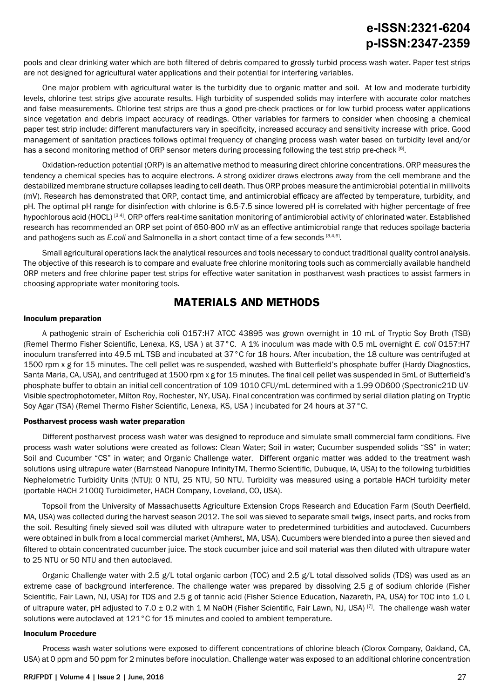pools and clear drinking water which are both filtered of debris compared to grossly turbid process wash water. Paper test strips are not designed for agricultural water applications and their potential for interfering variables.

One major problem with agricultural water is the turbidity due to organic matter and soil. At low and moderate turbidity levels, chlorine test strips give accurate results. High turbidity of suspended solids may interfere with accurate color matches and false measurements. Chlorine test strips are thus a good pre-check practices or for low turbid process water applications since vegetation and debris impact accuracy of readings. Other variables for farmers to consider when choosing a chemical paper test strip include: different manufacturers vary in specificity, increased accuracy and sensitivity increase with price. Good management of sanitation practices follows optimal frequency of changing process wash water based on turbidity level and/or has a second monitoring method of ORP sensor meters during processing following the test strip pre-check [6].

Oxidation-reduction potential (ORP) is an alternative method to measuring direct chlorine concentrations. ORP measures the tendency a chemical species has to acquire electrons. A strong oxidizer draws electrons away from the cell membrane and the destabilized membrane structure collapses leading to cell death. Thus ORP probes measure the antimicrobial potential in millivolts (mV). Research has demonstrated that ORP, contact time, and antimicrobial efficacy are affected by temperature, turbidity, and pH. The optimal pH range for disinfection with chlorine is 6.5-7.5 since lowered pH is correlated with higher percentage of free hypochlorous acid (HOCL)<sup>[3,4]</sup>. ORP offers real-time sanitation monitoring of antimicrobial activity of chlorinated water. Established research has recommended an ORP set point of 650-800 mV as an effective antimicrobial range that reduces spoilage bacteria and pathogens such as *E.coli* and Salmonella in a short contact time of a few seconds [3,4,6].

Small agricultural operations lack the analytical resources and tools necessary to conduct traditional quality control analysis. The objective of this research is to compare and evaluate free chlorine monitoring tools such as commercially available handheld ORP meters and free chlorine paper test strips for effective water sanitation in postharvest wash practices to assist farmers in choosing appropriate water monitoring tools.

## **MATERIALS AND METHODS**

#### Inoculum preparation

A pathogenic strain of Escherichia coli O157:H7 ATCC 43895 was grown overnight in 10 mL of Tryptic Soy Broth (TSB) (Remel Thermo Fisher Scientific, Lenexa, KS, USA ) at 37°C. A 1% inoculum was made with 0.5 mL overnight *E. coli* O157:H7 inoculum transferred into 49.5 mL TSB and incubated at 37°C for 18 hours. After incubation, the 18 culture was centrifuged at 1500 rpm x g for 15 minutes. The cell pellet was re-suspended, washed with Butterfield's phosphate buffer (Hardy Diagnostics, Santa Maria, CA, USA), and centrifuged at 1500 rpm x g for 15 minutes. The final cell pellet was suspended in 5mL of Butterfield's phosphate buffer to obtain an initial cell concentration of 109-1010 CFU/mL determined with a 1.99 OD600 (Spectronic21D UV-Visible spectrophotometer, Milton Roy, Rochester, NY, USA). Final concentration was confirmed by serial dilation plating on Tryptic Soy Agar (TSA) (Remel Thermo Fisher Scientific, Lenexa, KS, USA ) incubated for 24 hours at 37°C.

#### Postharvest process wash water preparation

Different postharvest process wash water was designed to reproduce and simulate small commercial farm conditions. Five process wash water solutions were created as follows: Clean Water; Soil in water; Cucumber suspended solids "SS" in water; Soil and Cucumber "CS" in water; and Organic Challenge water. Different organic matter was added to the treatment wash solutions using ultrapure water (Barnstead Nanopure InfinityTM, Thermo Scientific, Dubuque, IA, USA) to the following turbidities Nephelometric Turbidity Units (NTU): 0 NTU, 25 NTU, 50 NTU. Turbidity was measured using a portable HACH turbidity meter (portable HACH 2100Q Turbidimeter, HACH Company, Loveland, CO, USA).

Topsoil from the University of Massachusetts Agriculture Extension Crops Research and Education Farm (South Deerfield, MA, USA) was collected during the harvest season 2012. The soil was sieved to separate small twigs, insect parts, and rocks from the soil. Resulting finely sieved soil was diluted with ultrapure water to predetermined turbidities and autoclaved. Cucumbers were obtained in bulk from a local commercial market (Amherst, MA, USA). Cucumbers were blended into a puree then sieved and filtered to obtain concentrated cucumber juice. The stock cucumber juice and soil material was then diluted with ultrapure water to 25 NTU or 50 NTU and then autoclaved.

Organic Challenge water with 2.5 g/L total organic carbon (TOC) and 2.5 g/L total dissolved solids (TDS) was used as an extreme case of background interference. The challenge water was prepared by dissolving 2.5 g of sodium chloride (Fisher Scientific, Fair Lawn, NJ, USA) for TDS and 2.5 g of tannic acid (Fisher Science Education, Nazareth, PA, USA) for TOC into 1.0 L of ultrapure water, pH adjusted to 7.0  $\pm$  0.2 with 1 M NaOH (Fisher Scientific, Fair Lawn, NJ, USA)<sup>[7]</sup>. The challenge wash water solutions were autoclaved at 121°C for 15 minutes and cooled to ambient temperature.

#### Inoculum Procedure

Process wash water solutions were exposed to different concentrations of chlorine bleach (Clorox Company, Oakland, CA, USA) at 0 ppm and 50 ppm for 2 minutes before inoculation. Challenge water was exposed to an additional chlorine concentration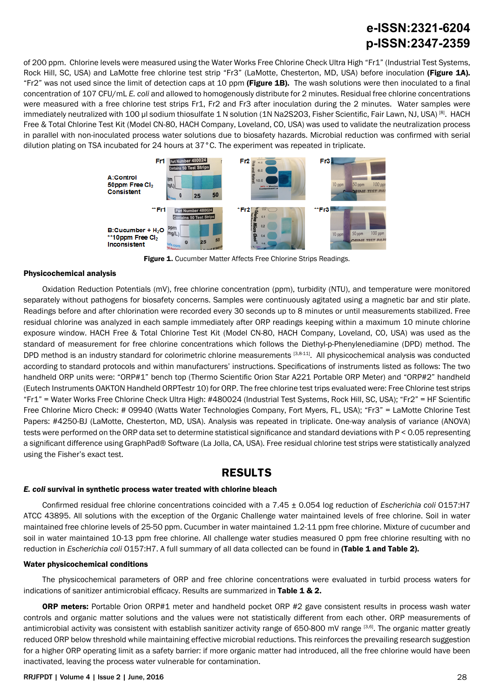of 200 ppm. Chlorine levels were measured using the Water Works Free Chlorine Check Ultra High "Fr1" (Industrial Test Systems, Rock Hill, SC, USA) and LaMotte free chlorine test strip "Fr3" (LaMotte, Chesterton, MD, USA) before inoculation (Figure 1A). "Fr2" was not used since the limit of detection caps at 10 ppm (Figure 1B). The wash solutions were then inoculated to a final concentration of 107 CFU/mL *E. coli* and allowed to homogenously distribute for 2 minutes. Residual free chlorine concentrations were measured with a free chlorine test strips Fr1, Fr2 and Fr3 after inoculation during the 2 minutes. Water samples were immediately neutralized with 100 μl sodium thiosulfate 1 N solution (1N Na2S2O3, Fisher Scientific, Fair Lawn, NJ, USA) [8]. HACH Free & Total Chlorine Test Kit (Model CN-80, HACH Company, Loveland, CO, USA) was used to validate the neutralization process in parallel with non-inoculated process water solutions due to biosafety hazards. Microbial reduction was confirmed with serial dilution plating on TSA incubated for 24 hours at 37°C. The experiment was repeated in triplicate.



Figure 1. Cucumber Matter Affects Free Chlorine Strips Readings.

#### Physicochemical analysis

Oxidation Reduction Potentials (mV), free chlorine concentration (ppm), turbidity (NTU), and temperature were monitored separately without pathogens for biosafety concerns. Samples were continuously agitated using a magnetic bar and stir plate. Readings before and after chlorination were recorded every 30 seconds up to 8 minutes or until measurements stabilized. Free residual chlorine was analyzed in each sample immediately after ORP readings keeping within a maximum 10 minute chlorine exposure window. HACH Free & Total Chlorine Test Kit (Model CN-80, HACH Company, Loveland, CO, USA) was used as the standard of measurement for free chlorine concentrations which follows the Diethyl-p-Phenylenediamine (DPD) method. The DPD method is an industry standard for colorimetric chlorine measurements [3,8-11]. All physicochemical analysis was conducted according to standard protocols and within manufacturers' instructions. Specifications of instruments listed as follows: The two handheld ORP units were: "ORP#1" bench top (Thermo Scientific Orion Star A221 Portable ORP Meter) and "ORP#2" handheld (Eutech Instruments OAKTON Handheld ORPTestr 10) for ORP. The free chlorine test trips evaluated were: Free Chlorine test strips "Fr1" = Water Works Free Chlorine Check Ultra High: #480024 (Industrial Test Systems, Rock Hill, SC, USA); "Fr2" = HF Scientific Free Chlorine Micro Check: # 09940 (Watts Water Technologies Company, Fort Myers, FL, USA); "Fr3" = LaMotte Chlorine Test Papers: #4250-BJ (LaMotte, Chesterton, MD, USA). Analysis was repeated in triplicate. One-way analysis of variance (ANOVA) tests were performed on the ORP data set to determine statistical significance and standard deviations with P < 0.05 representing a significant difference using GraphPad® Software (La Jolla, CA, USA). Free residual chlorine test strips were statistically analyzed using the Fisher's exact test.

### **RESULTS**

#### *E. coli* survival in synthetic process water treated with chlorine bleach

Confirmed residual free chlorine concentrations coincided with a 7.45 ± 0.054 log reduction of *Escherichia coli* O157:H7 ATCC 43895. All solutions with the exception of the Organic Challenge water maintained levels of free chlorine. Soil in water maintained free chlorine levels of 25-50 ppm. Cucumber in water maintained 1.2-11 ppm free chlorine. Mixture of cucumber and soil in water maintained 10-13 ppm free chlorine. All challenge water studies measured 0 ppm free chlorine resulting with no reduction in *Escherichia coli* O157:H7. A full summary of all data collected can be found in (Table 1 and Table 2).

#### Water physicochemical conditions

The physicochemical parameters of ORP and free chlorine concentrations were evaluated in turbid process waters for indications of sanitizer antimicrobial efficacy. Results are summarized in Table 1 & 2.

ORP meters: Portable Orion ORP#1 meter and handheld pocket ORP #2 gave consistent results in process wash water controls and organic matter solutions and the values were not statistically different from each other. ORP measurements of antimicrobial activity was consistent with establish sanitizer activity range of 650-800 mV range [3,6]. The organic matter greatly reduced ORP below threshold while maintaining effective microbial reductions. This reinforces the prevailing research suggestion for a higher ORP operating limit as a safety barrier: if more organic matter had introduced, all the free chlorine would have been inactivated, leaving the process water vulnerable for contamination.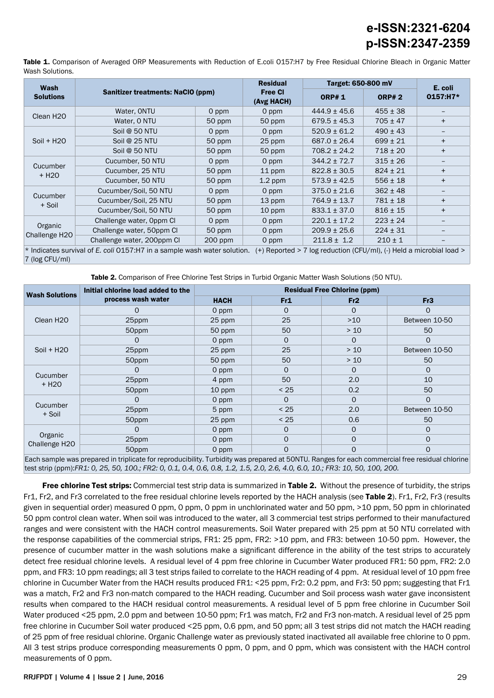Table 1. Comparison of Averaged ORP Measurements with Reduction of E.coli O157:H7 by Free Residual Chlorine Bleach in Organic Matter Wash Solutions.

| Wash                                                                                                                                                 | Sanitizer treatments: NaCIO (ppm) |           | <b>Residual</b><br><b>Free CI</b><br>(Avg HACH) | Target: 650-800 mV |              | E. coli  |  |  |
|------------------------------------------------------------------------------------------------------------------------------------------------------|-----------------------------------|-----------|-------------------------------------------------|--------------------|--------------|----------|--|--|
| <b>Solutions</b>                                                                                                                                     |                                   |           |                                                 | <b>ORP#1</b>       | <b>ORP#2</b> | 0157:H7* |  |  |
| Clean H <sub>20</sub>                                                                                                                                | Water, ONTU                       | 0 ppm     | 0 ppm                                           | $444.9 \pm 45.6$   | $455 \pm 38$ |          |  |  |
|                                                                                                                                                      | Water, 0 NTU                      | 50 ppm    | 50 ppm                                          | $679.5 \pm 45.3$   | $705 \pm 47$ | $+$      |  |  |
| $Soil + H2O$                                                                                                                                         | Soil @ 50 NTU                     | 0 ppm     | 0 ppm                                           | $520.9 \pm 61.2$   | $490 \pm 43$ |          |  |  |
|                                                                                                                                                      | Soil @ 25 NTU                     | 50 ppm    | 25 ppm                                          | $687.0 \pm 26.4$   | $699 \pm 21$ | $+$      |  |  |
|                                                                                                                                                      | Soil @ 50 NTU                     | 50 ppm    | 50 ppm                                          | $708.2 \pm 24.2$   | $718 \pm 20$ | $+$      |  |  |
| Cucumber<br>+ H <sub>20</sub>                                                                                                                        | Cucumber, 50 NTU                  | 0 ppm     | 0 ppm                                           | $344.2 \pm 72.7$   | $315 \pm 26$ |          |  |  |
|                                                                                                                                                      | Cucumber, 25 NTU                  | 50 ppm    | 11 ppm                                          | $822.8 \pm 30.5$   | $824 \pm 21$ | $+$      |  |  |
|                                                                                                                                                      | Cucumber, 50 NTU                  | 50 ppm    | $1.2$ ppm                                       | $573.9 \pm 42.5$   | $556 \pm 18$ | $+$      |  |  |
| Cucumber<br>+ Soil                                                                                                                                   | Cucumber/Soil, 50 NTU             | 0 ppm     | 0 ppm                                           | $375.0 \pm 21.6$   | $362 \pm 48$ |          |  |  |
|                                                                                                                                                      | Cucumber/Soil, 25 NTU             | 50 ppm    | 13 ppm                                          | $764.9 \pm 13.7$   | $781 \pm 18$ | $+$      |  |  |
|                                                                                                                                                      | Cucumber/Soil, 50 NTU             | 50 ppm    | 10 ppm                                          | $833.1 \pm 37.0$   | $816 \pm 15$ | $+$      |  |  |
| Organic<br>Challenge H <sub>20</sub>                                                                                                                 | Challenge water, Oppm CI          | 0 ppm     | 0 ppm                                           | $220.1 \pm 17.2$   | $223 \pm 24$ |          |  |  |
|                                                                                                                                                      | Challenge water, 50ppm Cl         | 50 ppm    | 0 ppm                                           | $209.9 \pm 25.6$   | $224 \pm 31$ |          |  |  |
|                                                                                                                                                      | Challenge water, 200ppm Cl        | $200$ ppm | 0 ppm                                           | $211.8 \pm 1.2$    | $210 \pm 1$  |          |  |  |
| * Indicates survival of E. coli 0157:H7 in a sample wash water solution.<br>$(+)$ Reported > 7 log reduction (CFU/ml), $(-)$ Held a microbial load > |                                   |           |                                                 |                    |              |          |  |  |

7 (log CFU/ml) Table 2. Comparison of Free Chlorine Test Strips in Turbid Organic Matter Wash Solutions (50 NTU).

| <b>Wash Solutions</b>         | Initial chlorine load added to the | <b>Residual Free Chlorine (ppm)</b> |              |          |               |  |
|-------------------------------|------------------------------------|-------------------------------------|--------------|----------|---------------|--|
|                               | process wash water                 | <b>HACH</b>                         | Fr1          | Fr2      | Fr3           |  |
| Clean H <sub>20</sub>         | O                                  | 0 ppm                               | 0            | O        | 0             |  |
|                               | 25ppm                              | 25 ppm                              | 25           | $>10$    | Between 10-50 |  |
|                               | 50ppm                              | 50 ppm                              | 50           | > 10     | 50            |  |
| $Soil + H2O$                  |                                    | 0 ppm                               | 0            | $\Omega$ | $\Omega$      |  |
|                               | 25ppm                              | 25 ppm                              | 25           | > 10     | Between 10-50 |  |
|                               | 50ppm                              | 50 ppm                              | 50           | > 10     | 50            |  |
| Cucumber<br>+ H <sub>20</sub> | O                                  | 0 ppm                               | 0            | $\Omega$ | O             |  |
|                               | 25ppm                              | 4 ppm                               | 50           | 2.0      | 10            |  |
|                               | 50ppm                              | 10 ppm                              | $< 25$       | 0.2      | 50            |  |
| Cucumber<br>+ Soil            | O                                  | 0 ppm                               | $\Omega$     | $\Omega$ | $\Omega$      |  |
|                               | 25ppm                              | 5 ppm                               | < 25         | 2.0      | Between 10-50 |  |
|                               | 50ppm                              | 25 ppm                              | < 25         | 0.6      | 50            |  |
| Organic<br>Challenge H2O      | O                                  | 0 ppm                               | 0            | $\Omega$ | 0             |  |
|                               | 25ppm                              | 0 ppm                               | $\mathsf{O}$ | $\Omega$ | $\Omega$      |  |
|                               | 50ppm                              | 0 ppm                               | 0            | $\Omega$ | $\Omega$      |  |

Each sample was prepared in triplicate for reproducibility. Turbidity was prepared at 50NTU. Ranges for each commercial free residual chlorine test strip (ppm):*FR1: 0, 25, 50, 100.; FR2: 0, 0.1, 0.4, 0.6, 0.8, 1.2, 1.5, 2.0, 2.6, 4.0, 6.0, 10.; FR3: 10, 50, 100, 200.*

Free chlorine Test strips: Commercial test strip data is summarized in Table 2. Without the presence of turbidity, the strips Fr1, Fr2, and Fr3 correlated to the free residual chlorine levels reported by the HACH analysis (see Table 2). Fr1, Fr2, Fr3 (results given in sequential order) measured 0 ppm, 0 ppm, 0 ppm in unchlorinated water and 50 ppm, >10 ppm, 50 ppm in chlorinated 50 ppm control clean water. When soil was introduced to the water, all 3 commercial test strips performed to their manufactured ranges and were consistent with the HACH control measurements. Soil Water prepared with 25 ppm at 50 NTU correlated with the response capabilities of the commercial strips, FR1: 25 ppm, FR2: >10 ppm, and FR3: between 10-50 ppm. However, the presence of cucumber matter in the wash solutions make a significant difference in the ability of the test strips to accurately detect free residual chlorine levels. A residual level of 4 ppm free chlorine in Cucumber Water produced FR1: 50 ppm, FR2: 2.0 ppm, and FR3: 10 ppm readings; all 3 test strips failed to correlate to the HACH reading of 4 ppm. At residual level of 10 ppm free chlorine in Cucumber Water from the HACH results produced FR1: <25 ppm, Fr2: 0.2 ppm, and Fr3: 50 ppm; suggesting that Fr1 was a match, Fr2 and Fr3 non-match compared to the HACH reading. Cucumber and Soil process wash water gave inconsistent results when compared to the HACH residual control measurements. A residual level of 5 ppm free chlorine in Cucumber Soil Water produced <25 ppm, 2.0 ppm and between 10-50 ppm; Fr1 was match, Fr2 and Fr3 non-match. A residual level of 25 ppm free chlorine in Cucumber Soil water produced <25 ppm, 0.6 ppm, and 50 ppm; all 3 test strips did not match the HACH reading of 25 ppm of free residual chlorine. Organic Challenge water as previously stated inactivated all available free chlorine to 0 ppm. All 3 test strips produce corresponding measurements 0 ppm, 0 ppm, and 0 ppm, which was consistent with the HACH control measurements of 0 ppm.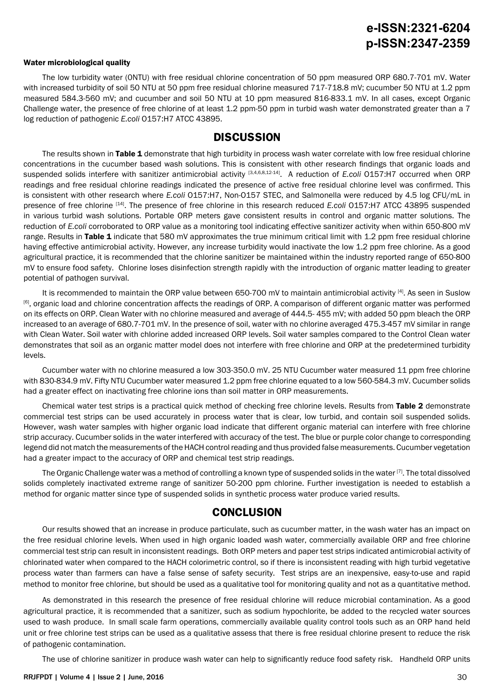#### Water microbiological quality

The low turbidity water (0NTU) with free residual chlorine concentration of 50 ppm measured ORP 680.7-701 mV. Water with increased turbidity of soil 50 NTU at 50 ppm free residual chlorine measured 717-718.8 mV; cucumber 50 NTU at 1.2 ppm measured 584.3-560 mV; and cucumber and soil 50 NTU at 10 ppm measured 816-833.1 mV. In all cases, except Organic Challenge water, the presence of free chlorine of at least 1.2 ppm-50 ppm in turbid wash water demonstrated greater than a 7 log reduction of pathogenic *E.coli* O157:H7 ATCC 43895.

### **DISCUSSION**

The results shown in Table 1 demonstrate that high turbidity in process wash water correlate with low free residual chlorine concentrations in the cucumber based wash solutions. This is consistent with other research findings that organic loads and suspended solids interfere with sanitizer antimicrobial activity [3,4,6,8,12-14]. A reduction of *E.coli* O157:H7 occurred when ORP readings and free residual chlorine readings indicated the presence of active free residual chlorine level was confirmed. This is consistent with other research where *E.coli* O157:H7, Non-O157 STEC, and Salmonella were reduced by 4.5 log CFU/mL in presence of free chlorine [14]. The presence of free chlorine in this research reduced *E.coli* O157:H7 ATCC 43895 suspended in various turbid wash solutions. Portable ORP meters gave consistent results in control and organic matter solutions. The reduction of *E.coli* corroborated to ORP value as a monitoring tool indicating effective sanitizer activity when within 650-800 mV range. Results in Table 1 indicate that 580 mV approximates the true minimum critical limit with 1.2 ppm free residual chlorine having effective antimicrobial activity. However, any increase turbidity would inactivate the low 1.2 ppm free chlorine. As a good agricultural practice, it is recommended that the chlorine sanitizer be maintained within the industry reported range of 650-800 mV to ensure food safety. Chlorine loses disinfection strength rapidly with the introduction of organic matter leading to greater potential of pathogen survival.

It is recommended to maintain the ORP value between 650-700 mV to maintain antimicrobial activity <sup>[4]</sup>. As seen in Suslow <sup>[6]</sup>, organic load and chlorine concentration affects the readings of ORP. A comparison of different organic matter was performed on its effects on ORP. Clean Water with no chlorine measured and average of 444.5- 455 mV; with added 50 ppm bleach the ORP increased to an average of 680.7-701 mV. In the presence of soil, water with no chlorine averaged 475.3-457 mV similar in range with Clean Water. Soil water with chlorine added increased ORP levels. Soil water samples compared to the Control Clean water demonstrates that soil as an organic matter model does not interfere with free chlorine and ORP at the predetermined turbidity levels.

Cucumber water with no chlorine measured a low 303-350.0 mV. 25 NTU Cucumber water measured 11 ppm free chlorine with 830-834.9 mV. Fifty NTU Cucumber water measured 1.2 ppm free chlorine equated to a low 560-584.3 mV. Cucumber solids had a greater effect on inactivating free chlorine ions than soil matter in ORP measurements.

Chemical water test strips is a practical quick method of checking free chlorine levels. Results from Table 2 demonstrate commercial test strips can be used accurately in process water that is clear, low turbid, and contain soil suspended solids. However, wash water samples with higher organic load indicate that different organic material can interfere with free chlorine strip accuracy. Cucumber solids in the water interfered with accuracy of the test. The blue or purple color change to corresponding legend did not match the measurements of the HACH control reading and thus provided false measurements. Cucumber vegetation had a greater impact to the accuracy of ORP and chemical test strip readings.

The Organic Challenge water was a method of controlling a known type of suspended solids in the water [7]. The total dissolved solids completely inactivated extreme range of sanitizer 50-200 ppm chlorine. Further investigation is needed to establish a method for organic matter since type of suspended solids in synthetic process water produce varied results.

### **CONCLUSION**

Our results showed that an increase in produce particulate, such as cucumber matter, in the wash water has an impact on the free residual chlorine levels. When used in high organic loaded wash water, commercially available ORP and free chlorine commercial test strip can result in inconsistent readings. Both ORP meters and paper test strips indicated antimicrobial activity of chlorinated water when compared to the HACH colorimetric control, so if there is inconsistent reading with high turbid vegetative process water than farmers can have a false sense of safety security. Test strips are an inexpensive, easy-to-use and rapid method to monitor free chlorine, but should be used as a qualitative tool for monitoring quality and not as a quantitative method.

As demonstrated in this research the presence of free residual chlorine will reduce microbial contamination. As a good agricultural practice, it is recommended that a sanitizer, such as sodium hypochlorite, be added to the recycled water sources used to wash produce. In small scale farm operations, commercially available quality control tools such as an ORP hand held unit or free chlorine test strips can be used as a qualitative assess that there is free residual chlorine present to reduce the risk of pathogenic contamination.

The use of chlorine sanitizer in produce wash water can help to significantly reduce food safety risk. Handheld ORP units